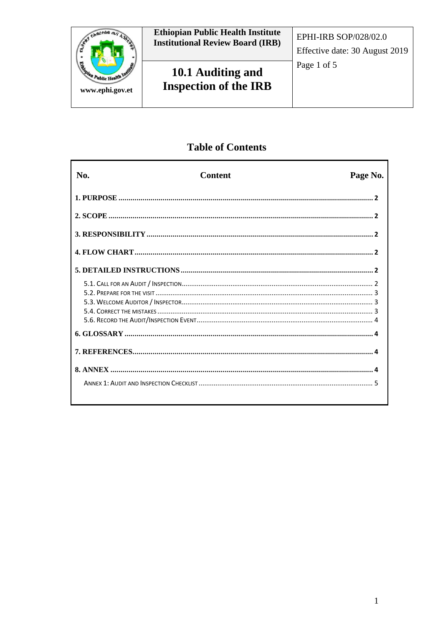

# **Table of Contents**

| No. | <b>Content</b> | Page No. |
|-----|----------------|----------|
|     |                |          |
|     |                |          |
|     |                |          |
|     |                |          |
|     |                |          |
|     |                |          |
|     |                |          |
|     |                |          |
|     |                |          |
|     |                |          |
|     |                |          |
|     |                |          |
|     |                |          |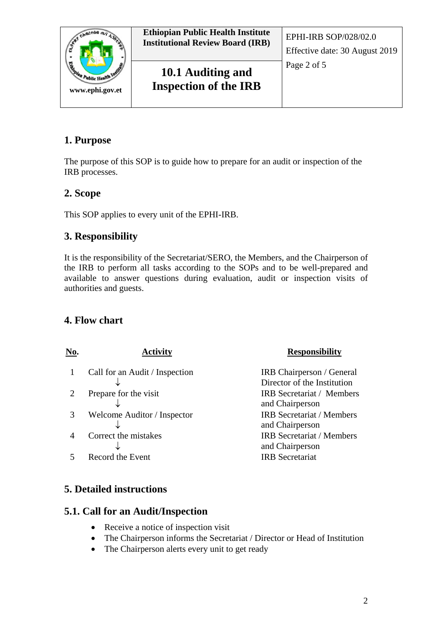

# **1. Purpose**

The purpose of this SOP is to guide how to prepare for an audit or inspection of the IRB processes.

### **2. Scope**

This SOP applies to every unit of the EPHI-IRB.

### **3. Responsibility**

It is the responsibility of the Secretariat/SERO, the Members, and the Chairperson of the IRB to perform all tasks according to the SOPs and to be well-prepared and available to answer questions during evaluation, audit or inspection visits of authorities and guests.

### **4. Flow chart**

| No. | Activity                       | <b>Responsibility</b>                                    |
|-----|--------------------------------|----------------------------------------------------------|
|     | Call for an Audit / Inspection | IRB Chairperson / General<br>Director of the Institution |
|     | Prepare for the visit          | <b>IRB</b> Secretariat / Members<br>and Chairperson      |
| 3   | Welcome Auditor / Inspector    | <b>IRB</b> Secretariat / Members<br>and Chairperson      |
|     | Correct the mistakes           | <b>IRB</b> Secretariat / Members<br>and Chairperson      |
|     | Record the Event               | <b>IRB</b> Secretariat                                   |

# **5. Detailed instructions**

### **5.1. Call for an Audit/Inspection**

- Receive a notice of inspection visit
- The Chairperson informs the Secretariat / Director or Head of Institution
- The Chairperson alerts every unit to get ready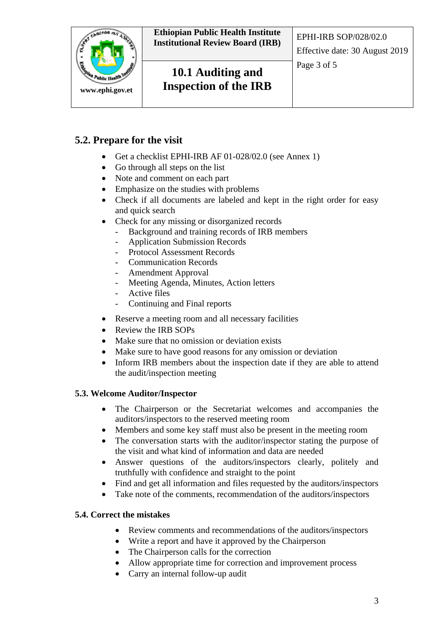

**Ethiopian Public Health Institute Institutional Review Board (IRB)** EPHI-IRB SOP/028/02.0

**10.1 Auditing and Inspection of the IRB** 

# **5.2. Prepare for the visit**

- Get a checklist EPHI-IRB AF 01-028/02.0 (see Annex 1)
- Go through all steps on the list
- Note and comment on each part
- Emphasize on the studies with problems
- Check if all documents are labeled and kept in the right order for easy and quick search
- Check for any missing or disorganized records
	- Background and training records of IRB members
	- Application Submission Records
	- Protocol Assessment Records
	- Communication Records
	- Amendment Approval
	- Meeting Agenda, Minutes, Action letters
	- Active files
	- Continuing and Final reports
- Reserve a meeting room and all necessary facilities
- Review the IRB SOPs
- Make sure that no omission or deviation exists
- Make sure to have good reasons for any omission or deviation
- Inform IRB members about the inspection date if they are able to attend the audit/inspection meeting

#### **5.3. Welcome Auditor/Inspector**

- The Chairperson or the Secretariat welcomes and accompanies the auditors/inspectors to the reserved meeting room
- Members and some key staff must also be present in the meeting room
- The conversation starts with the auditor/inspector stating the purpose of the visit and what kind of information and data are needed
- Answer questions of the auditors/inspectors clearly, politely and truthfully with confidence and straight to the point
- Find and get all information and files requested by the auditors/inspectors
- Take note of the comments, recommendation of the auditors/inspectors

### **5.4. Correct the mistakes**

- Review comments and recommendations of the auditors/inspectors
- Write a report and have it approved by the Chairperson
- The Chairperson calls for the correction
- Allow appropriate time for correction and improvement process
- Carry an internal follow-up audit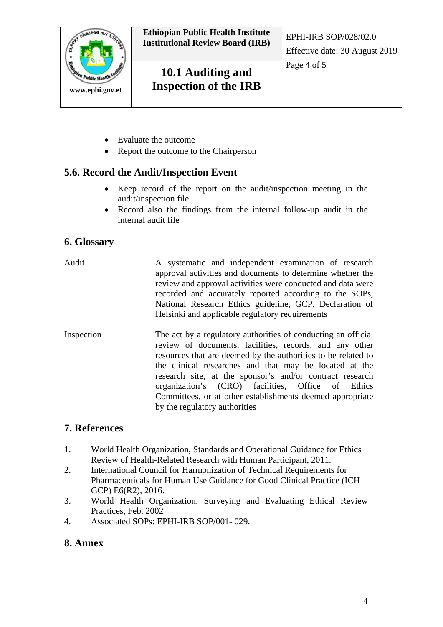

- Evaluate the outcome
- Report the outcome to the Chairperson

# **5.6. Record the Audit/Inspection Event**

- Keep record of the report on the audit/inspection meeting in the audit/inspection file
- Record also the findings from the internal follow-up audit in the internal audit file

# **6. Glossary**

- Audit A systematic and independent examination of research approval activities and documents to determine whether the review and approval activities were conducted and data were recorded and accurately reported according to the SOPs, National Research Ethics guideline, GCP, Declaration of Helsinki and applicable regulatory requirements
- Inspection The act by a regulatory authorities of conducting an official review of documents, facilities, records, and any other resources that are deemed by the authorities to be related to the clinical researches and that may be located at the research site, at the sponsor's and/or contract research organization's (CRO) facilities, Office of Ethics Committees, or at other establishments deemed appropriate by the regulatory authorities

# **7. References**

- 1. World Health Organization, Standards and Operational Guidance for Ethics Review of Health-Related Research with Human Participant, 2011.
- 2. International Council for Harmonization of Technical Requirements for Pharmaceuticals for Human Use Guidance for Good Clinical Practice (ICH GCP) E6(R2), 2016.
- 3. World Health Organization, Surveying and Evaluating Ethical Review Practices, Feb. 2002
- 4. Associated SOPs: EPHI-IRB SOP/001- 029.

### **8. Annex**